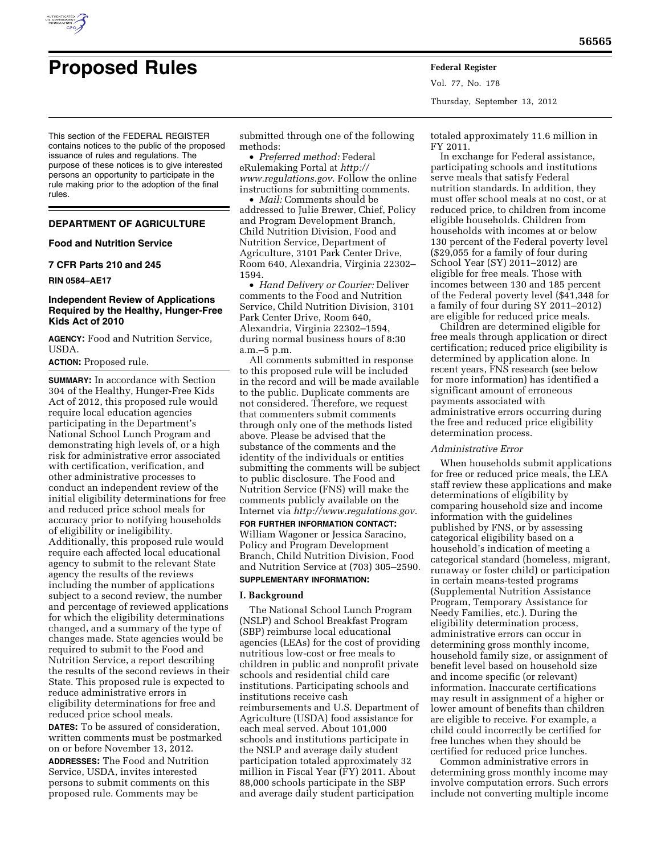

Vol. 77, No. 178 Thursday, September 13, 2012

This section of the FEDERAL REGISTER contains notices to the public of the proposed issuance of rules and regulations. The purpose of these notices is to give interested persons an opportunity to participate in the rule making prior to the adoption of the final rules.

# **DEPARTMENT OF AGRICULTURE**

### **Food and Nutrition Service**

#### **7 CFR Parts 210 and 245**

**RIN 0584–AE17** 

# **Independent Review of Applications Required by the Healthy, Hunger-Free Kids Act of 2010**

**AGENCY:** Food and Nutrition Service, USDA.

# **ACTION:** Proposed rule.

**SUMMARY:** In accordance with Section 304 of the Healthy, Hunger-Free Kids Act of 2012, this proposed rule would require local education agencies participating in the Department's National School Lunch Program and demonstrating high levels of, or a high risk for administrative error associated with certification, verification, and other administrative processes to conduct an independent review of the initial eligibility determinations for free and reduced price school meals for accuracy prior to notifying households of eligibility or ineligibility. Additionally, this proposed rule would require each affected local educational agency to submit to the relevant State agency the results of the reviews including the number of applications subject to a second review, the number and percentage of reviewed applications for which the eligibility determinations changed, and a summary of the type of changes made. State agencies would be required to submit to the Food and Nutrition Service, a report describing the results of the second reviews in their State. This proposed rule is expected to reduce administrative errors in eligibility determinations for free and reduced price school meals.

**DATES:** To be assured of consideration, written comments must be postmarked on or before November 13, 2012. **ADDRESSES:** The Food and Nutrition Service, USDA, invites interested persons to submit comments on this proposed rule. Comments may be

submitted through one of the following methods:

• *Preferred method:* Federal eRulemaking Portal at *[http://](http://www.regulations.gov)  [www.regulations.gov](http://www.regulations.gov)*. Follow the online instructions for submitting comments.

• *Mail:* Comments should be addressed to Julie Brewer, Chief, Policy and Program Development Branch, Child Nutrition Division, Food and Nutrition Service, Department of Agriculture, 3101 Park Center Drive, Room 640, Alexandria, Virginia 22302– 1594.

• *Hand Delivery or Courier:* Deliver comments to the Food and Nutrition Service, Child Nutrition Division, 3101 Park Center Drive, Room 640, Alexandria, Virginia 22302–1594, during normal business hours of 8:30 a.m.–5 p.m.

All comments submitted in response to this proposed rule will be included in the record and will be made available to the public. Duplicate comments are not considered. Therefore, we request that commenters submit comments through only one of the methods listed above. Please be advised that the substance of the comments and the identity of the individuals or entities submitting the comments will be subject to public disclosure. The Food and Nutrition Service (FNS) will make the comments publicly available on the Internet via *<http://www.regulations.gov>*.

**FOR FURTHER INFORMATION CONTACT:**  William Wagoner or Jessica Saracino, Policy and Program Development Branch, Child Nutrition Division, Food and Nutrition Service at (703) 305–2590. **SUPPLEMENTARY INFORMATION:** 

# **I. Background**

The National School Lunch Program (NSLP) and School Breakfast Program (SBP) reimburse local educational agencies (LEAs) for the cost of providing nutritious low-cost or free meals to children in public and nonprofit private schools and residential child care institutions. Participating schools and institutions receive cash reimbursements and U.S. Department of Agriculture (USDA) food assistance for each meal served. About 101,000 schools and institutions participate in the NSLP and average daily student participation totaled approximately 32 million in Fiscal Year (FY) 2011. About 88,000 schools participate in the SBP and average daily student participation

totaled approximately 11.6 million in FY 2011.

In exchange for Federal assistance, participating schools and institutions serve meals that satisfy Federal nutrition standards. In addition, they must offer school meals at no cost, or at reduced price, to children from income eligible households. Children from households with incomes at or below 130 percent of the Federal poverty level (\$29,055 for a family of four during School Year (SY) 2011–2012) are eligible for free meals. Those with incomes between 130 and 185 percent of the Federal poverty level (\$41,348 for a family of four during SY 2011–2012) are eligible for reduced price meals.

Children are determined eligible for free meals through application or direct certification; reduced price eligibility is determined by application alone. In recent years, FNS research (see below for more information) has identified a significant amount of erroneous payments associated with administrative errors occurring during the free and reduced price eligibility determination process.

#### *Administrative Error*

When households submit applications for free or reduced price meals, the LEA staff review these applications and make determinations of eligibility by comparing household size and income information with the guidelines published by FNS, or by assessing categorical eligibility based on a household's indication of meeting a categorical standard (homeless, migrant, runaway or foster child) or participation in certain means-tested programs (Supplemental Nutrition Assistance Program, Temporary Assistance for Needy Families, etc.). During the eligibility determination process, administrative errors can occur in determining gross monthly income, household family size, or assignment of benefit level based on household size and income specific (or relevant) information. Inaccurate certifications may result in assignment of a higher or lower amount of benefits than children are eligible to receive. For example, a child could incorrectly be certified for free lunches when they should be certified for reduced price lunches.

Common administrative errors in determining gross monthly income may involve computation errors. Such errors include not converting multiple income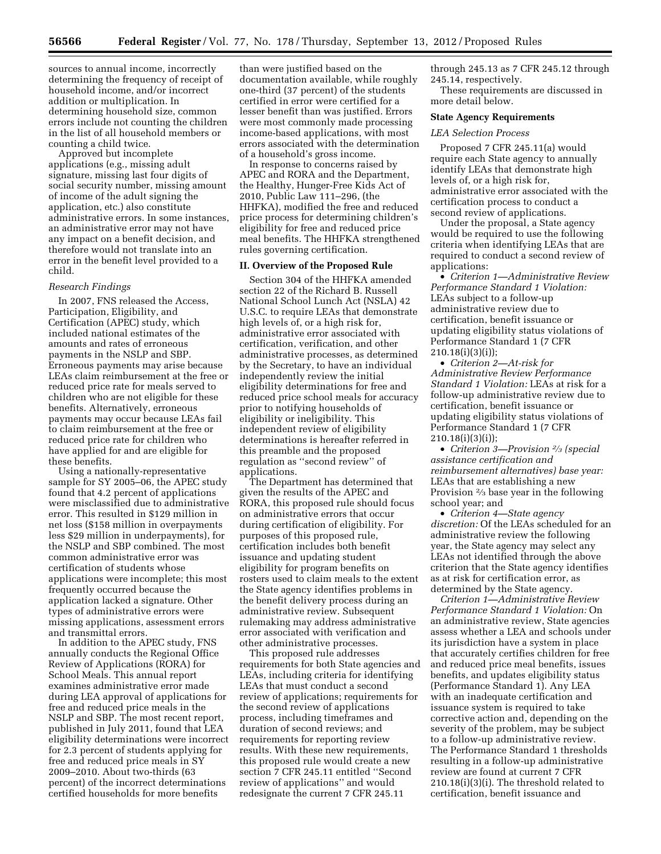sources to annual income, incorrectly determining the frequency of receipt of household income, and/or incorrect addition or multiplication. In determining household size, common errors include not counting the children in the list of all household members or counting a child twice.

Approved but incomplete applications (e.g., missing adult signature, missing last four digits of social security number, missing amount of income of the adult signing the application, etc.) also constitute administrative errors. In some instances, an administrative error may not have any impact on a benefit decision, and therefore would not translate into an error in the benefit level provided to a child.

### *Research Findings*

In 2007, FNS released the Access, Participation, Eligibility, and Certification (APEC) study, which included national estimates of the amounts and rates of erroneous payments in the NSLP and SBP. Erroneous payments may arise because LEAs claim reimbursement at the free or reduced price rate for meals served to children who are not eligible for these benefits. Alternatively, erroneous payments may occur because LEAs fail to claim reimbursement at the free or reduced price rate for children who have applied for and are eligible for these benefits.

Using a nationally-representative sample for SY 2005–06, the APEC study found that 4.2 percent of applications were misclassified due to administrative error. This resulted in \$129 million in net loss (\$158 million in overpayments less \$29 million in underpayments), for the NSLP and SBP combined. The most common administrative error was certification of students whose applications were incomplete; this most frequently occurred because the application lacked a signature. Other types of administrative errors were missing applications, assessment errors and transmittal errors.

In addition to the APEC study, FNS annually conducts the Regional Office Review of Applications (RORA) for School Meals. This annual report examines administrative error made during LEA approval of applications for free and reduced price meals in the NSLP and SBP. The most recent report, published in July 2011, found that LEA eligibility determinations were incorrect for 2.3 percent of students applying for free and reduced price meals in SY 2009–2010. About two-thirds (63 percent) of the incorrect determinations certified households for more benefits

than were justified based on the documentation available, while roughly one-third (37 percent) of the students certified in error were certified for a lesser benefit than was justified. Errors were most commonly made processing income-based applications, with most errors associated with the determination of a household's gross income.

In response to concerns raised by APEC and RORA and the Department, the Healthy, Hunger-Free Kids Act of 2010, Public Law 111–296, (the HHFKA), modified the free and reduced price process for determining children's eligibility for free and reduced price meal benefits. The HHFKA strengthened rules governing certification.

### **II. Overview of the Proposed Rule**

Section 304 of the HHFKA amended section 22 of the Richard B. Russell National School Lunch Act (NSLA) 42 U.S.C. to require LEAs that demonstrate high levels of, or a high risk for, administrative error associated with certification, verification, and other administrative processes, as determined by the Secretary, to have an individual independently review the initial eligibility determinations for free and reduced price school meals for accuracy prior to notifying households of eligibility or ineligibility. This independent review of eligibility determinations is hereafter referred in this preamble and the proposed regulation as ''second review'' of applications.

The Department has determined that given the results of the APEC and RORA, this proposed rule should focus on administrative errors that occur during certification of eligibility. For purposes of this proposed rule, certification includes both benefit issuance and updating student eligibility for program benefits on rosters used to claim meals to the extent the State agency identifies problems in the benefit delivery process during an administrative review. Subsequent rulemaking may address administrative error associated with verification and other administrative processes.

This proposed rule addresses requirements for both State agencies and LEAs, including criteria for identifying LEAs that must conduct a second review of applications; requirements for the second review of applications process, including timeframes and duration of second reviews; and requirements for reporting review results. With these new requirements, this proposed rule would create a new section 7 CFR 245.11 entitled ''Second review of applications'' and would redesignate the current 7 CFR 245.11

through 245.13 as 7 CFR 245.12 through 245.14, respectively.

These requirements are discussed in more detail below.

### **State Agency Requirements**

#### *LEA Selection Process*

Proposed 7 CFR 245.11(a) would require each State agency to annually identify LEAs that demonstrate high levels of, or a high risk for, administrative error associated with the certification process to conduct a second review of applications.

Under the proposal, a State agency would be required to use the following criteria when identifying LEAs that are required to conduct a second review of applications:

• *Criterion 1—Administrative Review Performance Standard 1 Violation:*  LEAs subject to a follow-up administrative review due to certification, benefit issuance or updating eligibility status violations of Performance Standard 1 (7 CFR 210.18(i)(3)(i));

• *Criterion 2—At-risk for Administrative Review Performance Standard 1 Violation:* LEAs at risk for a follow-up administrative review due to certification, benefit issuance or updating eligibility status violations of Performance Standard 1 (7 CFR  $210.18(i)(3)(i)$ ;

• *Criterion 3—Provision 2⁄3 (special assistance certification and reimbursement alternatives) base year:*  LEAs that are establishing a new Provision 2⁄3 base year in the following school year; and

• *Criterion 4—State agency discretion:* Of the LEAs scheduled for an administrative review the following year, the State agency may select any LEAs not identified through the above criterion that the State agency identifies as at risk for certification error, as determined by the State agency.

*Criterion 1—Administrative Review Performance Standard 1 Violation:* On an administrative review, State agencies assess whether a LEA and schools under its jurisdiction have a system in place that accurately certifies children for free and reduced price meal benefits, issues benefits, and updates eligibility status (Performance Standard 1). Any LEA with an inadequate certification and issuance system is required to take corrective action and, depending on the severity of the problem, may be subject to a follow-up administrative review. The Performance Standard 1 thresholds resulting in a follow-up administrative review are found at current 7 CFR 210.18(i)(3)(i). The threshold related to certification, benefit issuance and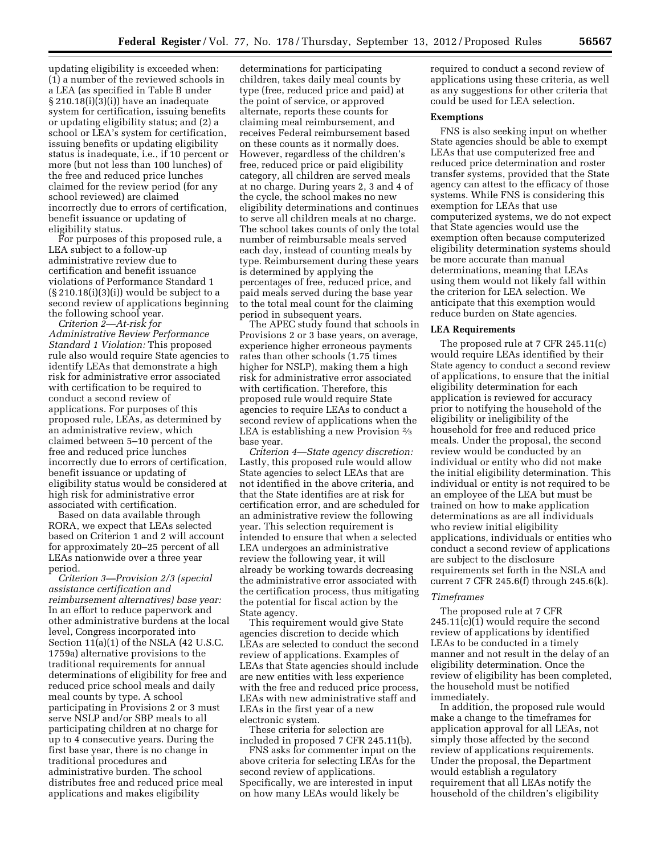updating eligibility is exceeded when: (1) a number of the reviewed schools in a LEA (as specified in Table B under § 210.18(i)(3)(i)) have an inadequate system for certification, issuing benefits or updating eligibility status; and (2) a school or LEA's system for certification, issuing benefits or updating eligibility status is inadequate, i.e., if 10 percent or more (but not less than 100 lunches) of the free and reduced price lunches claimed for the review period (for any school reviewed) are claimed incorrectly due to errors of certification, benefit issuance or updating of eligibility status.

For purposes of this proposed rule, a LEA subject to a follow-up administrative review due to certification and benefit issuance violations of Performance Standard 1  $(S 210.18(i)(3)(i))$  would be subject to a second review of applications beginning the following school year.

*Criterion 2—At-risk for Administrative Review Performance Standard 1 Violation:* This proposed rule also would require State agencies to identify LEAs that demonstrate a high risk for administrative error associated with certification to be required to conduct a second review of applications. For purposes of this proposed rule, LEAs, as determined by an administrative review, which claimed between 5–10 percent of the free and reduced price lunches incorrectly due to errors of certification, benefit issuance or updating of eligibility status would be considered at high risk for administrative error associated with certification.

Based on data available through RORA, we expect that LEAs selected based on Criterion 1 and 2 will account for approximately 20–25 percent of all LEAs nationwide over a three year period.

*Criterion 3—Provision 2/3 (special assistance certification and reimbursement alternatives) base year:*  In an effort to reduce paperwork and other administrative burdens at the local level, Congress incorporated into Section 11(a)(1) of the NSLA (42 U.S.C. 1759a) alternative provisions to the traditional requirements for annual determinations of eligibility for free and reduced price school meals and daily meal counts by type. A school participating in Provisions 2 or 3 must serve NSLP and/or SBP meals to all participating children at no charge for up to 4 consecutive years. During the first base year, there is no change in traditional procedures and administrative burden. The school distributes free and reduced price meal applications and makes eligibility

determinations for participating children, takes daily meal counts by type (free, reduced price and paid) at the point of service, or approved alternate, reports these counts for claiming meal reimbursement, and receives Federal reimbursement based on these counts as it normally does. However, regardless of the children's free, reduced price or paid eligibility category, all children are served meals at no charge. During years 2, 3 and 4 of the cycle, the school makes no new eligibility determinations and continues to serve all children meals at no charge. The school takes counts of only the total number of reimbursable meals served each day, instead of counting meals by type. Reimbursement during these years is determined by applying the percentages of free, reduced price, and paid meals served during the base year to the total meal count for the claiming period in subsequent years.

The APEC study found that schools in Provisions 2 or 3 base years, on average, experience higher erroneous payments rates than other schools (1.75 times higher for NSLP), making them a high risk for administrative error associated with certification. Therefore, this proposed rule would require State agencies to require LEAs to conduct a second review of applications when the LEA is establishing a new Provision 2⁄3 base year.

*Criterion 4—State agency discretion:*  Lastly, this proposed rule would allow State agencies to select LEAs that are not identified in the above criteria, and that the State identifies are at risk for certification error, and are scheduled for an administrative review the following year. This selection requirement is intended to ensure that when a selected LEA undergoes an administrative review the following year, it will already be working towards decreasing the administrative error associated with the certification process, thus mitigating the potential for fiscal action by the State agency.

This requirement would give State agencies discretion to decide which LEAs are selected to conduct the second review of applications. Examples of LEAs that State agencies should include are new entities with less experience with the free and reduced price process, LEAs with new administrative staff and LEAs in the first year of a new electronic system.

These criteria for selection are included in proposed 7 CFR 245.11(b).

FNS asks for commenter input on the above criteria for selecting LEAs for the second review of applications. Specifically, we are interested in input on how many LEAs would likely be

required to conduct a second review of applications using these criteria, as well as any suggestions for other criteria that could be used for LEA selection.

#### **Exemptions**

FNS is also seeking input on whether State agencies should be able to exempt LEAs that use computerized free and reduced price determination and roster transfer systems, provided that the State agency can attest to the efficacy of those systems. While FNS is considering this exemption for LEAs that use computerized systems, we do not expect that State agencies would use the exemption often because computerized eligibility determination systems should be more accurate than manual determinations, meaning that LEAs using them would not likely fall within the criterion for LEA selection. We anticipate that this exemption would reduce burden on State agencies.

#### **LEA Requirements**

The proposed rule at 7 CFR 245.11(c) would require LEAs identified by their State agency to conduct a second review of applications, to ensure that the initial eligibility determination for each application is reviewed for accuracy prior to notifying the household of the eligibility or ineligibility of the household for free and reduced price meals. Under the proposal, the second review would be conducted by an individual or entity who did not make the initial eligibility determination. This individual or entity is not required to be an employee of the LEA but must be trained on how to make application determinations as are all individuals who review initial eligibility applications, individuals or entities who conduct a second review of applications are subject to the disclosure requirements set forth in the NSLA and current 7 CFR 245.6(f) through 245.6(k).

### *Timeframes*

The proposed rule at 7 CFR 245.11(c)(1) would require the second review of applications by identified LEAs to be conducted in a timely manner and not result in the delay of an eligibility determination. Once the review of eligibility has been completed, the household must be notified immediately.

In addition, the proposed rule would make a change to the timeframes for application approval for all LEAs, not simply those affected by the second review of applications requirements. Under the proposal, the Department would establish a regulatory requirement that all LEAs notify the household of the children's eligibility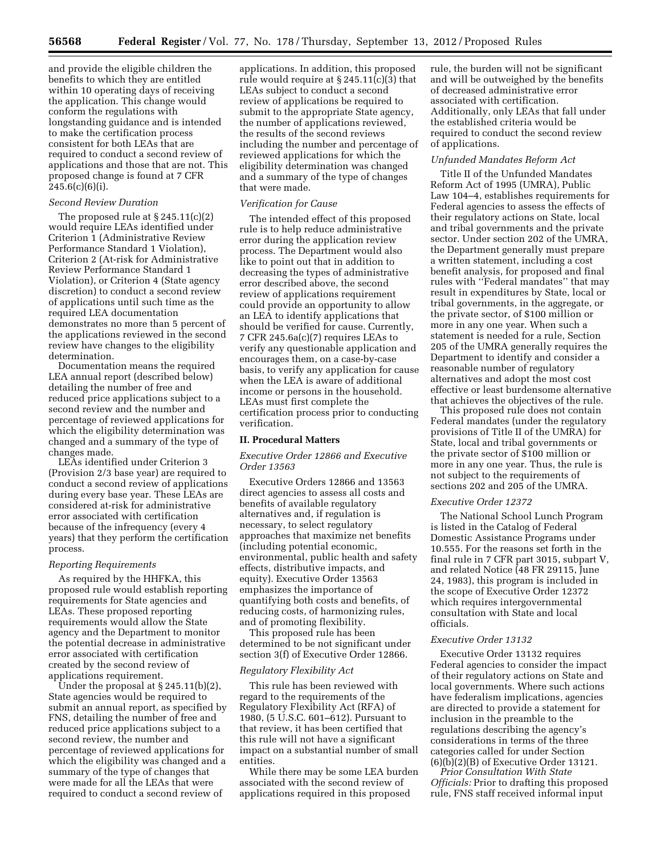and provide the eligible children the benefits to which they are entitled within 10 operating days of receiving the application. This change would conform the regulations with longstanding guidance and is intended to make the certification process consistent for both LEAs that are required to conduct a second review of applications and those that are not. This proposed change is found at 7 CFR  $245.6(c)(6)(i)$ .

### *Second Review Duration*

The proposed rule at  $\S 245.11(c)(2)$ would require LEAs identified under Criterion 1 (Administrative Review Performance Standard 1 Violation), Criterion 2 (At-risk for Administrative Review Performance Standard 1 Violation), or Criterion 4 (State agency discretion) to conduct a second review of applications until such time as the required LEA documentation demonstrates no more than 5 percent of the applications reviewed in the second review have changes to the eligibility determination.

Documentation means the required LEA annual report (described below) detailing the number of free and reduced price applications subject to a second review and the number and percentage of reviewed applications for which the eligibility determination was changed and a summary of the type of changes made.

LEAs identified under Criterion 3 (Provision 2/3 base year) are required to conduct a second review of applications during every base year. These LEAs are considered at-risk for administrative error associated with certification because of the infrequency (every 4 years) that they perform the certification process.

#### *Reporting Requirements*

As required by the HHFKA, this proposed rule would establish reporting requirements for State agencies and LEAs. These proposed reporting requirements would allow the State agency and the Department to monitor the potential decrease in administrative error associated with certification created by the second review of applications requirement.

Under the proposal at  $\S 245.11(b)(2)$ , State agencies would be required to submit an annual report, as specified by FNS, detailing the number of free and reduced price applications subject to a second review, the number and percentage of reviewed applications for which the eligibility was changed and a summary of the type of changes that were made for all the LEAs that were required to conduct a second review of

applications. In addition, this proposed rule would require at § 245.11(c)(3) that LEAs subject to conduct a second review of applications be required to submit to the appropriate State agency, the number of applications reviewed, the results of the second reviews including the number and percentage of reviewed applications for which the eligibility determination was changed and a summary of the type of changes that were made.

#### *Verification for Cause*

The intended effect of this proposed rule is to help reduce administrative error during the application review process. The Department would also like to point out that in addition to decreasing the types of administrative error described above, the second review of applications requirement could provide an opportunity to allow an LEA to identify applications that should be verified for cause. Currently, 7 CFR 245.6a(c)(7) requires LEAs to verify any questionable application and encourages them, on a case-by-case basis, to verify any application for cause when the LEA is aware of additional income or persons in the household. LEAs must first complete the certification process prior to conducting verification.

### **II. Procedural Matters**

## *Executive Order 12866 and Executive Order 13563*

Executive Orders 12866 and 13563 direct agencies to assess all costs and benefits of available regulatory alternatives and, if regulation is necessary, to select regulatory approaches that maximize net benefits (including potential economic, environmental, public health and safety effects, distributive impacts, and equity). Executive Order 13563 emphasizes the importance of quantifying both costs and benefits, of reducing costs, of harmonizing rules, and of promoting flexibility.

This proposed rule has been determined to be not significant under section 3(f) of Executive Order 12866.

### *Regulatory Flexibility Act*

This rule has been reviewed with regard to the requirements of the Regulatory Flexibility Act (RFA) of 1980, (5 U.S.C. 601–612). Pursuant to that review, it has been certified that this rule will not have a significant impact on a substantial number of small entities.

While there may be some LEA burden associated with the second review of applications required in this proposed

rule, the burden will not be significant and will be outweighed by the benefits of decreased administrative error associated with certification. Additionally, only LEAs that fall under the established criteria would be required to conduct the second review of applications.

### *Unfunded Mandates Reform Act*

Title II of the Unfunded Mandates Reform Act of 1995 (UMRA), Public Law 104–4, establishes requirements for Federal agencies to assess the effects of their regulatory actions on State, local and tribal governments and the private sector. Under section 202 of the UMRA, the Department generally must prepare a written statement, including a cost benefit analysis, for proposed and final rules with ''Federal mandates'' that may result in expenditures by State, local or tribal governments, in the aggregate, or the private sector, of \$100 million or more in any one year. When such a statement is needed for a rule, Section 205 of the UMRA generally requires the Department to identify and consider a reasonable number of regulatory alternatives and adopt the most cost effective or least burdensome alternative that achieves the objectives of the rule.

This proposed rule does not contain Federal mandates (under the regulatory provisions of Title II of the UMRA) for State, local and tribal governments or the private sector of \$100 million or more in any one year. Thus, the rule is not subject to the requirements of sections 202 and 205 of the UMRA.

#### *Executive Order 12372*

The National School Lunch Program is listed in the Catalog of Federal Domestic Assistance Programs under 10.555. For the reasons set forth in the final rule in 7 CFR part 3015, subpart V, and related Notice (48 FR 29115, June 24, 1983), this program is included in the scope of Executive Order 12372 which requires intergovernmental consultation with State and local officials.

### *Executive Order 13132*

Executive Order 13132 requires Federal agencies to consider the impact of their regulatory actions on State and local governments. Where such actions have federalism implications, agencies are directed to provide a statement for inclusion in the preamble to the regulations describing the agency's considerations in terms of the three categories called for under Section (6)(b)(2)(B) of Executive Order 13121.

*Prior Consultation With State Officials:* Prior to drafting this proposed rule, FNS staff received informal input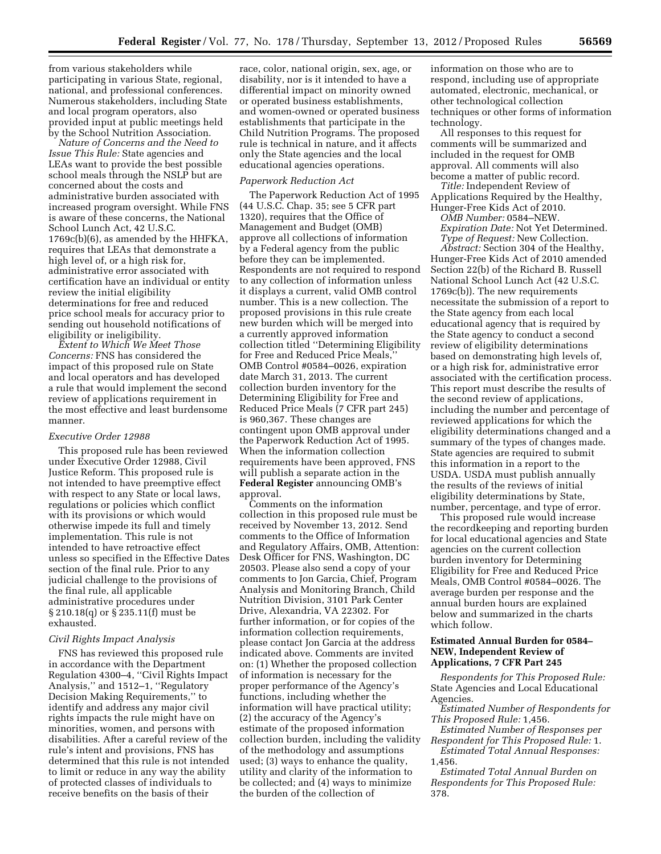from various stakeholders while participating in various State, regional, national, and professional conferences. Numerous stakeholders, including State and local program operators, also provided input at public meetings held by the School Nutrition Association.

*Nature of Concerns and the Need to Issue This Rule:* State agencies and LEAs want to provide the best possible school meals through the NSLP but are concerned about the costs and administrative burden associated with increased program oversight. While FNS is aware of these concerns, the National School Lunch Act, 42 U.S.C. 1769c(b)(6), as amended by the HHFKA, requires that LEAs that demonstrate a high level of, or a high risk for, administrative error associated with certification have an individual or entity review the initial eligibility determinations for free and reduced price school meals for accuracy prior to sending out household notifications of eligibility or ineligibility.

*Extent to Which We Meet Those Concerns:* FNS has considered the impact of this proposed rule on State and local operators and has developed a rule that would implement the second review of applications requirement in the most effective and least burdensome manner.

# *Executive Order 12988*

This proposed rule has been reviewed under Executive Order 12988, Civil Justice Reform. This proposed rule is not intended to have preemptive effect with respect to any State or local laws, regulations or policies which conflict with its provisions or which would otherwise impede its full and timely implementation. This rule is not intended to have retroactive effect unless so specified in the Effective Dates section of the final rule. Prior to any judicial challenge to the provisions of the final rule, all applicable administrative procedures under § 210.18(q) or § 235.11(f) must be exhausted.

#### *Civil Rights Impact Analysis*

FNS has reviewed this proposed rule in accordance with the Department Regulation 4300–4, ''Civil Rights Impact Analysis,'' and 1512–1, ''Regulatory Decision Making Requirements,'' to identify and address any major civil rights impacts the rule might have on minorities, women, and persons with disabilities. After a careful review of the rule's intent and provisions, FNS has determined that this rule is not intended to limit or reduce in any way the ability of protected classes of individuals to receive benefits on the basis of their

race, color, national origin, sex, age, or disability, nor is it intended to have a differential impact on minority owned or operated business establishments, and women-owned or operated business establishments that participate in the Child Nutrition Programs. The proposed rule is technical in nature, and it affects only the State agencies and the local educational agencies operations.

### *Paperwork Reduction Act*

The Paperwork Reduction Act of 1995 (44 U.S.C. Chap. 35; see 5 CFR part 1320), requires that the Office of Management and Budget (OMB) approve all collections of information by a Federal agency from the public before they can be implemented. Respondents are not required to respond to any collection of information unless it displays a current, valid OMB control number. This is a new collection. The proposed provisions in this rule create new burden which will be merged into a currently approved information collection titled ''Determining Eligibility for Free and Reduced Price Meals,'' OMB Control #0584–0026, expiration date March 31, 2013. The current collection burden inventory for the Determining Eligibility for Free and Reduced Price Meals (7 CFR part 245) is 960,367. These changes are contingent upon OMB approval under the Paperwork Reduction Act of 1995. When the information collection requirements have been approved, FNS will publish a separate action in the **Federal Register** announcing OMB's approval.

Comments on the information collection in this proposed rule must be received by November 13, 2012. Send comments to the Office of Information and Regulatory Affairs, OMB, Attention: Desk Officer for FNS, Washington, DC 20503. Please also send a copy of your comments to Jon Garcia, Chief, Program Analysis and Monitoring Branch, Child Nutrition Division, 3101 Park Center Drive, Alexandria, VA 22302. For further information, or for copies of the information collection requirements, please contact Jon Garcia at the address indicated above. Comments are invited on: (1) Whether the proposed collection of information is necessary for the proper performance of the Agency's functions, including whether the information will have practical utility; (2) the accuracy of the Agency's estimate of the proposed information collection burden, including the validity of the methodology and assumptions used; (3) ways to enhance the quality, utility and clarity of the information to be collected; and (4) ways to minimize the burden of the collection of

information on those who are to respond, including use of appropriate automated, electronic, mechanical, or other technological collection techniques or other forms of information technology.

All responses to this request for comments will be summarized and included in the request for OMB approval. All comments will also become a matter of public record.

*Title:* Independent Review of Applications Required by the Healthy, Hunger-Free Kids Act of 2010.

*OMB Number:* 0584–NEW. *Expiration Date:* Not Yet Determined. *Type of Request:* New Collection.

*Abstract:* Section 304 of the Healthy, Hunger-Free Kids Act of 2010 amended Section 22(b) of the Richard B. Russell National School Lunch Act (42 U.S.C. 1769c(b)). The new requirements necessitate the submission of a report to the State agency from each local educational agency that is required by the State agency to conduct a second review of eligibility determinations based on demonstrating high levels of, or a high risk for, administrative error associated with the certification process. This report must describe the results of the second review of applications, including the number and percentage of reviewed applications for which the eligibility determinations changed and a summary of the types of changes made. State agencies are required to submit this information in a report to the USDA. USDA must publish annually the results of the reviews of initial eligibility determinations by State, number, percentage, and type of error.

This proposed rule would increase the recordkeeping and reporting burden for local educational agencies and State agencies on the current collection burden inventory for Determining Eligibility for Free and Reduced Price Meals, OMB Control #0584–0026. The average burden per response and the annual burden hours are explained below and summarized in the charts which follow.

### **Estimated Annual Burden for 0584– NEW, Independent Review of Applications, 7 CFR Part 245**

*Respondents for This Proposed Rule:*  State Agencies and Local Educational Agencies.

*Estimated Number of Respondents for This Proposed Rule:* 1,456.

*Estimated Number of Responses per Respondent for This Proposed Rule:* 1. *Estimated Total Annual Responses:* 

1,456.

*Estimated Total Annual Burden on Respondents for This Proposed Rule:*  378.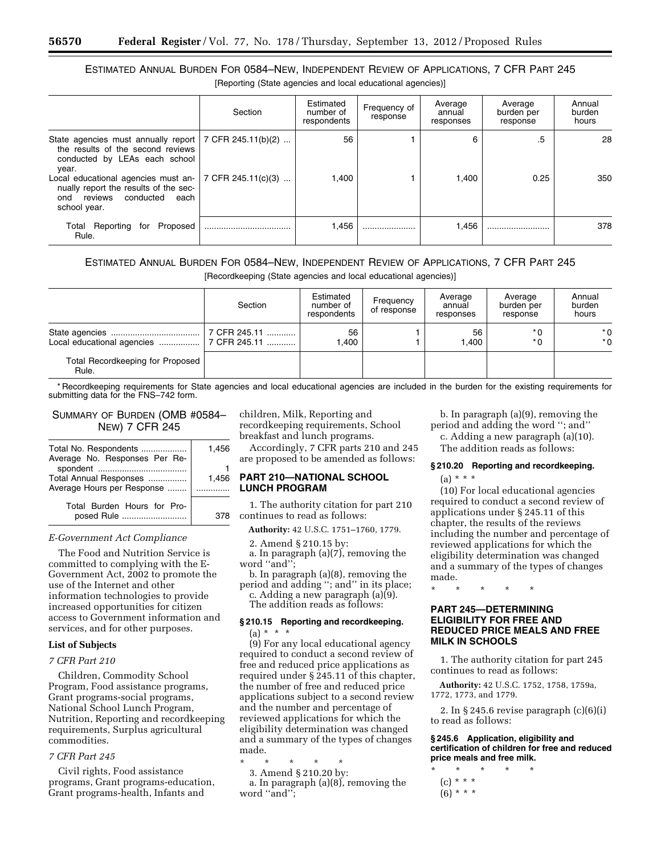# ESTIMATED ANNUAL BURDEN FOR 0584–NEW, INDEPENDENT REVIEW OF APPLICATIONS, 7 CFR PART 245

[Reporting (State agencies and local educational agencies)]

|                                                                                                                                              | Section            | Estimated<br>number of<br>respondents | Frequency of<br>response | Average<br>annual<br>responses | Average<br>burden per<br>response | Annual<br>burden<br>hours |
|----------------------------------------------------------------------------------------------------------------------------------------------|--------------------|---------------------------------------|--------------------------|--------------------------------|-----------------------------------|---------------------------|
| State agencies must annually report $\mid$ 7 CFR 245.11(b)(2)<br>the results of the second reviews<br>conducted by LEAs each school<br>year. |                    | 56                                    |                          | 6                              | .5                                | 28                        |
| Local educational agencies must an-<br>nually report the results of the sec-<br>reviews<br>conducted<br>each<br>ond<br>school year.          | 7 CFR 245.11(c)(3) | 1,400                                 |                          | 1.400                          | 0.25                              | 350                       |
| Proposed<br>Total Reporting for<br>Rule.                                                                                                     |                    | 1,456                                 |                          | 1,456                          |                                   | 378                       |

# ESTIMATED ANNUAL BURDEN FOR 0584–NEW, INDEPENDENT REVIEW OF APPLICATIONS, 7 CFR PART 245

[Recordkeeping (State agencies and local educational agencies)]

|                                           | Section      | Estimated<br>number of<br>respondents | Frequency<br>of response | Average<br>annual<br>responses | Average<br>burden per<br>response | Annual<br>burden<br>hours |
|-------------------------------------------|--------------|---------------------------------------|--------------------------|--------------------------------|-----------------------------------|---------------------------|
|                                           | 7 CFR 245.11 | 56<br>.400                            |                          | 56<br>1.400                    | $*$ 0<br>$*$ 0                    | $*$ 0<br>$*$ 0            |
| Total Recordkeeping for Proposed<br>Rule. |              |                                       |                          |                                |                                   |                           |

\* Recordkeeping requirements for State agencies and local educational agencies are included in the burden for the existing requirements for submitting data for the FNS–742 form.

# SUMMARY OF BURDEN (OMB #0584– NEW) 7 CFR 245

| Total No. Respondents                                | 1.456 |
|------------------------------------------------------|-------|
| Average No. Responses Per Re-                        |       |
| Total Annual Responses<br>Average Hours per Response | 1.456 |
| Total Burden Hours for Pro-<br>posed Rule            |       |

#### *E-Government Act Compliance*

The Food and Nutrition Service is committed to complying with the E-Government Act, 2002 to promote the use of the Internet and other information technologies to provide increased opportunities for citizen access to Government information and services, and for other purposes.

### **List of Subjects**

#### *7 CFR Part 210*

Children, Commodity School Program, Food assistance programs, Grant programs-social programs, National School Lunch Program, Nutrition, Reporting and recordkeeping requirements, Surplus agricultural commodities.

### *7 CFR Part 245*

Civil rights, Food assistance programs, Grant programs-education, Grant programs-health, Infants and

children, Milk, Reporting and recordkeeping requirements, School breakfast and lunch programs.

Accordingly, 7 CFR parts 210 and 245 are proposed to be amended as follows:

### **PART 210—NATIONAL SCHOOL LUNCH PROGRAM**

1. The authority citation for part 210 continues to read as follows:

**Authority:** 42 U.S.C. 1751–1760, 1779.

2. Amend § 210.15 by:

a. In paragraph (a)(7), removing the word ''and'';

b. In paragraph (a)(8), removing the period and adding ''; and'' in its place; c. Adding a new paragraph (a)(9).

The addition reads as follows:

### **§ 210.15 Reporting and recordkeeping.**  (a) \* \* \*

(9) For any local educational agency required to conduct a second review of free and reduced price applications as required under  $\S$  245.11 of this chapter, the number of free and reduced price applications subject to a second review and the number and percentage of reviewed applications for which the eligibility determination was changed and a summary of the types of changes made.

\* \* \* \* \*

3. Amend § 210.20 by:

a. In paragraph (a)(8), removing the word ''and'';

b. In paragraph (a)(9), removing the period and adding the word ''; and'' c. Adding a new paragraph (a)(10).

The addition reads as follows:

#### **§ 210.20 Reporting and recordkeeping.**

(a) \* \* \*

(10) For local educational agencies required to conduct a second review of applications under § 245.11 of this chapter, the results of the reviews including the number and percentage of reviewed applications for which the eligibility determination was changed and a summary of the types of changes made.

\* \* \* \* \*

# **PART 245—DETERMINING ELIGIBILITY FOR FREE AND REDUCED PRICE MEALS AND FREE MILK IN SCHOOLS**

1. The authority citation for part 245 continues to read as follows:

**Authority:** 42 U.S.C. 1752, 1758, 1759a, 1772, 1773, and 1779.

2. In § 245.6 revise paragraph (c)(6)(i) to read as follows:

**§ 245.6 Application, eligibility and certification of children for free and reduced price meals and free milk.** 

- \* \* \* \* \*
	- (c) \* \* \*
	- $(6) * * *$